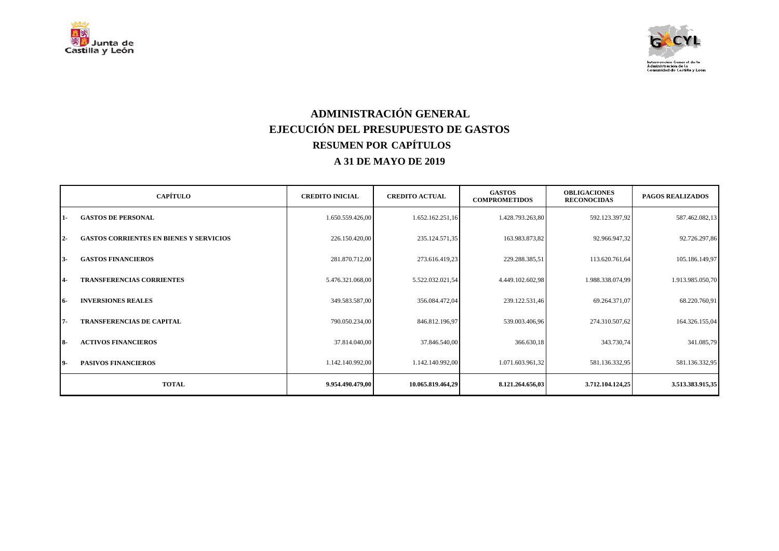



## **ADMINISTRACIÓN GENERAL EJECUCIÓN DEL PRESUPUESTO DE GASTOS RESUMEN POR CAPÍTULOS A 31 DE MAYO DE 2019**

|           | <b>CAPÍTULO</b>                                | <b>CREDITO INICIAL</b> | <b>CREDITO ACTUAL</b> | <b>GASTOS</b><br><b>COMPROMETIDOS</b> | <b>OBLIGACIONES</b><br><b>RECONOCIDAS</b> | <b>PAGOS REALIZADOS</b> |
|-----------|------------------------------------------------|------------------------|-----------------------|---------------------------------------|-------------------------------------------|-------------------------|
| $1-$      | <b>GASTOS DE PERSONAL</b>                      | 1.650.559.426,00       | 1.652.162.251,16      | 1.428.793.263,80                      | 592.123.397,92                            | 587.462.082,13          |
| $2 -$     | <b>GASTOS CORRIENTES EN BIENES Y SERVICIOS</b> | 226.150.420,00         | 235.124.571,35        | 163.983.873,82                        | 92.966.947,32                             | 92.726.297,86           |
| $3-$      | <b>GASTOS FINANCIEROS</b>                      | 281.870.712,00         | 273.616.419,23        | 229.288.385,51                        | 113.620.761,64                            | 105.186.149,97          |
| $4-$      | <b>TRANSFERENCIAS CORRIENTES</b>               | 5.476.321.068,00       | 5.522.032.021,54      | 4.449.102.602,98                      | 1.988.338.074,99                          | 1.913.985.050,70        |
| 16-       | <b>INVERSIONES REALES</b>                      | 349.583.587,00         | 356.084.472,04        | 239.122.531,46                        | 69.264.371,07                             | 68.220.760,91           |
| $7 -$     | <b>TRANSFERENCIAS DE CAPITAL</b>               | 790.050.234,00         | 846.812.196,97        | 539.003.406,96                        | 274.310.507,62                            | 164.326.155,04          |
| <b>8-</b> | <b>ACTIVOS FINANCIEROS</b>                     | 37.814.040,00          | 37.846.540,00         | 366.630,18                            | 343.730,74                                | 341.085,79              |
| 19-       | <b>PASIVOS FINANCIEROS</b>                     | 1.142.140.992,00       | 1.142.140.992,00      | 1.071.603.961,32                      | 581.136.332,95                            | 581.136.332,95          |
|           | <b>TOTAL</b>                                   | 9.954.490.479,00       | 10.065.819.464,29     | 8.121.264.656,03                      | 3.712.104.124,25                          | 3.513.383.915,35        |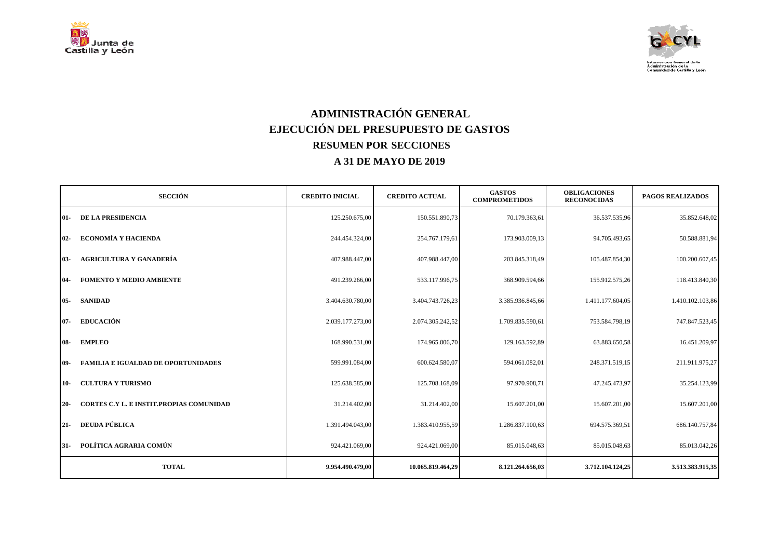



## **ADMINISTRACIÓN GENERAL EJECUCIÓN DEL PRESUPUESTO DE GASTOS RESUMEN POR SECCIONES A 31 DE MAYO DE 2019**

| <b>SECCIÓN</b>                                    | <b>CREDITO INICIAL</b> | <b>CREDITO ACTUAL</b> | <b>GASTOS</b><br><b>COMPROMETIDOS</b> | <b>OBLIGACIONES</b><br><b>RECONOCIDAS</b> | <b>PAGOS REALIZADOS</b> |
|---------------------------------------------------|------------------------|-----------------------|---------------------------------------|-------------------------------------------|-------------------------|
| DE LA PRESIDENCIA<br>01-                          | 125.250.675,00         | 150.551.890,73        | 70.179.363,61                         | 36.537.535,96                             | 35.852.648,02           |
| <b>ECONOMÍA Y HACIENDA</b><br>$02 -$              | 244.454.324,00         | 254.767.179,61        | 173.903.009,13                        | 94.705.493,65                             | 50.588.881,94           |
| <b>AGRICULTURA Y GANADERÍA</b><br>$03 -$          | 407.988.447,00         | 407.988.447,00        | 203.845.318,49                        | 105.487.854,30                            | 100.200.607,45          |
| <b>FOMENTO Y MEDIO AMBIENTE</b><br>$04 -$         | 491.239.266,00         | 533.117.996,75        | 368.909.594,66                        | 155.912.575,26                            | 118.413.840,30          |
| <b>SANIDAD</b><br>$05 -$                          | 3.404.630.780,00       | 3.404.743.726,23      | 3.385.936.845,66                      | 1.411.177.604,05                          | 1.410.102.103,86        |
| <b>EDUCACIÓN</b><br>$07 -$                        | 2.039.177.273,00       | 2.074.305.242,52      | 1.709.835.590,61                      | 753.584.798,19                            | 747.847.523,45          |
| <b>EMPLEO</b><br>$08-$                            | 168.990.531,00         | 174.965.806,70        | 129.163.592,89                        | 63.883.650,58                             | 16.451.209,97           |
| <b>FAMILIA E IGUALDAD DE OPORTUNIDADES</b><br>09- | 599.991.084,00         | 600.624.580,07        | 594.061.082,01                        | 248.371.519,15                            | 211.911.975,27          |
| <b>CULTURA Y TURISMO</b><br>$10-$                 | 125.638.585,00         | 125,708,168,09        | 97.970.908.71                         | 47.245.473,97                             | 35.254.123,99           |
| CORTES C.Y L. E INSTIT.PROPIAS COMUNIDAD<br>$20-$ | 31.214.402,00          | 31.214.402,00         | 15.607.201,00                         | 15.607.201,00                             | 15.607.201,00           |
| <b>DEUDA PÚBLICA</b><br>$21 -$                    | 1.391.494.043,00       | 1.383.410.955,59      | 1.286.837.100,63                      | 694.575.369,51                            | 686.140.757,84          |
| POLÍTICA AGRARIA COMÚN<br>$31 -$                  | 924.421.069,00         | 924.421.069,00        | 85.015.048,63                         | 85.015.048,63                             | 85.013.042,26           |
| <b>TOTAL</b>                                      | 9.954.490.479,00       | 10.065.819.464,29     | 8.121.264.656,03                      | 3.712.104.124,25                          | 3.513.383.915,35        |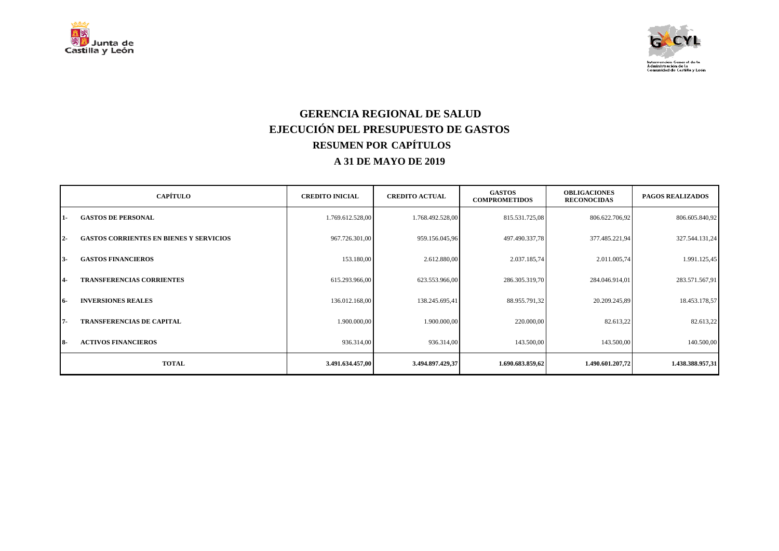



### **GERENCIA REGIONAL DE SALUD EJECUCIÓN DEL PRESUPUESTO DE GASTOS RESUMEN POR CAPÍTULOS A 31 DE MAYO DE 2019**

|           | <b>CAPÍTULO</b>                                | <b>CREDITO INICIAL</b> | <b>CREDITO ACTUAL</b> | <b>GASTOS</b><br><b>COMPROMETIDOS</b> | <b>OBLIGACIONES</b><br><b>RECONOCIDAS</b> | <b>PAGOS REALIZADOS</b> |
|-----------|------------------------------------------------|------------------------|-----------------------|---------------------------------------|-------------------------------------------|-------------------------|
| 11-       | <b>GASTOS DE PERSONAL</b>                      | 1.769.612.528,00       | 1.768.492.528,00      | 815.531.725,08                        | 806.622.706,92                            | 806.605.840,92          |
| $2 -$     | <b>GASTOS CORRIENTES EN BIENES Y SERVICIOS</b> | 967.726.301,00         | 959.156.045,96        | 497.490.337,78                        | 377.485.221,94                            | 327.544.131,24          |
| l 3-      | <b>GASTOS FINANCIEROS</b>                      | 153.180,00             | 2.612.880,00          | 2.037.185,74                          | 2.011.005,74                              | 1.991.125,45            |
| <b>4-</b> | <b>TRANSFERENCIAS CORRIENTES</b>               | 615.293.966,00         | 623.553.966,00        | 286.305.319,70                        | 284.046.914,01                            | 283.571.567,91          |
| 16-       | <b>INVERSIONES REALES</b>                      | 136.012.168,00         | 138.245.695,41        | 88.955.791,32                         | 20.209.245,89                             | 18.453.178,57           |
| 17-       | <b>TRANSFERENCIAS DE CAPITAL</b>               | 1.900.000,00           | 1.900.000,00          | 220.000,00                            | 82.613,22                                 | 82.613,22               |
| I 8-      | <b>ACTIVOS FINANCIEROS</b>                     | 936.314,00             | 936.314,00            | 143.500,00                            | 143.500,00                                | 140.500,00              |
|           | <b>TOTAL</b>                                   | 3.491.634.457,00       | 3.494.897.429,37      | 1.690.683.859,62                      | 1.490.601.207,72                          | 1.438.388.957,31        |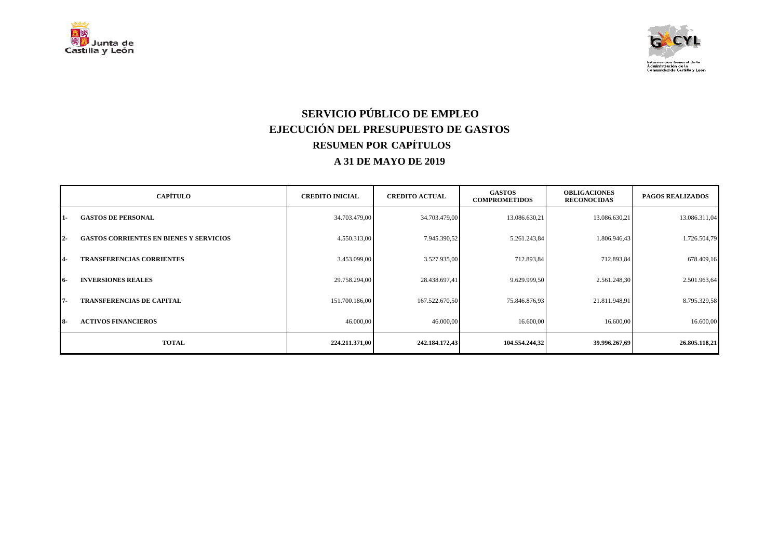



# **SERVICIO PÚBLICO DE EMPLEO EJECUCIÓN DEL PRESUPUESTO DE GASTOS RESUMEN POR CAPÍTULOS A 31 DE MAYO DE 2019**

|                | <b>CAPÍTULO</b>                                | <b>CREDITO INICIAL</b> | <b>CREDITO ACTUAL</b> | <b>GASTOS</b><br><b>COMPROMETIDOS</b> | <b>OBLIGACIONES</b><br><b>RECONOCIDAS</b> | <b>PAGOS REALIZADOS</b> |
|----------------|------------------------------------------------|------------------------|-----------------------|---------------------------------------|-------------------------------------------|-------------------------|
| $1-$           | <b>GASTOS DE PERSONAL</b>                      | 34.703.479,00          | 34.703.479,00         | 13.086.630,21                         | 13.086.630,21                             | 13.086.311,04           |
| $2 -$          | <b>GASTOS CORRIENTES EN BIENES Y SERVICIOS</b> | 4.550.313,00           | 7.945.390,52          | 5.261.243,84                          | 1.806.946,43                              | 1.726.504,79            |
| $\overline{4}$ | <b>TRANSFERENCIAS CORRIENTES</b>               | 3.453.099,00           | 3.527.935,00          | 712.893,84                            | 712.893,84                                | 678.409,16              |
| <b>16-</b>     | <b>INVERSIONES REALES</b>                      | 29.758.294,00          | 28.438.697,41         | 9.629.999,50                          | 2.561.248,30                              | 2.501.963,64            |
| 17-            | <b>TRANSFERENCIAS DE CAPITAL</b>               | 151.700.186,00         | 167.522.670,50        | 75.846.876,93                         | 21.811.948,91                             | 8.795.329,58            |
| $8-$           | <b>ACTIVOS FINANCIEROS</b>                     | 46.000,00              | 46.000,00             | 16.600,00                             | 16.600,00                                 | 16.600,00               |
|                | <b>TOTAL</b>                                   | 224,211,371,00         | 242.184.172,43        | 104.554.244,32                        | 39.996.267,69                             | 26.805.118,21           |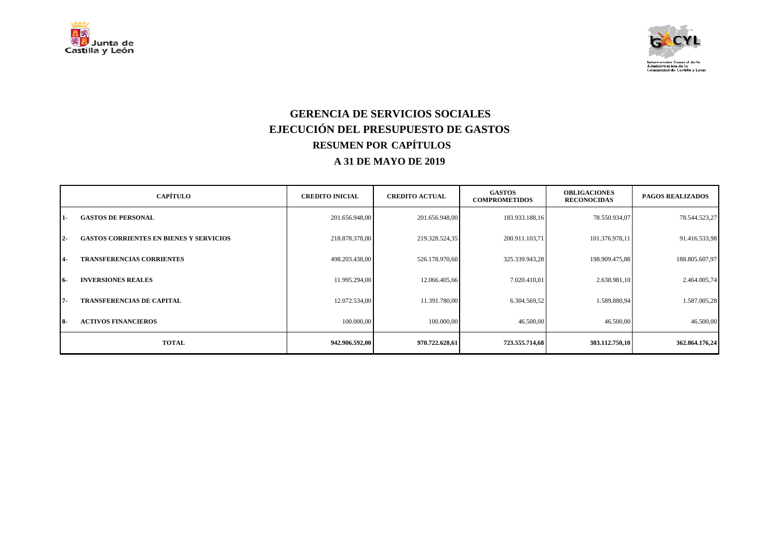



### **GERENCIA DE SERVICIOS SOCIALES EJECUCIÓN DEL PRESUPUESTO DE GASTOS RESUMEN POR CAPÍTULOS A 31 DE MAYO DE 2019**

|                | <b>CAPÍTULO</b>                                | <b>CREDITO INICIAL</b> | <b>CREDITO ACTUAL</b> | <b>GASTOS</b><br><b>COMPROMETIDOS</b> | <b>OBLIGACIONES</b><br><b>RECONOCIDAS</b> | <b>PAGOS REALIZADOS</b> |
|----------------|------------------------------------------------|------------------------|-----------------------|---------------------------------------|-------------------------------------------|-------------------------|
| $1-$           | <b>GASTOS DE PERSONAL</b>                      | 201.656.948,00         | 201.656.948,00        | 183.933.188,16                        | 78.550.934,07                             | 78.544.523,27           |
| $2 -$          | <b>GASTOS CORRIENTES EN BIENES Y SERVICIOS</b> | 218.878.378,00         | 219.328.524,35        | 200.911.103,71                        | 101.376.978,11                            | 91.416.533,98           |
| $\overline{4}$ | <b>TRANSFERENCIAS CORRIENTES</b>               | 498.203.438,00         | 526.178.970,60        | 325.339.943,28                        | 198.909.475,88                            | 188.805.607,97          |
| <b>16-</b>     | <b>INVERSIONES REALES</b>                      | 11.995.294,00          | 12.066.405,66         | 7.020.410,01                          | 2.638.981,10                              | 2.464.005,74            |
| 17-            | <b>TRANSFERENCIAS DE CAPITAL</b>               | 12.072.534,00          | 11.391.780,00         | 6.304.569,52                          | 1.589.880,94                              | 1.587.005,28            |
| <b>18-</b>     | <b>ACTIVOS FINANCIEROS</b>                     | 100.000,00             | 100.000,00            | 46.500,00                             | 46.500,00                                 | 46.500,00               |
|                | <b>TOTAL</b>                                   | 942.906.592,00         | 970.722.628,61        | 723.555.714,68                        | 383.112.750,10                            | 362.864.176,24          |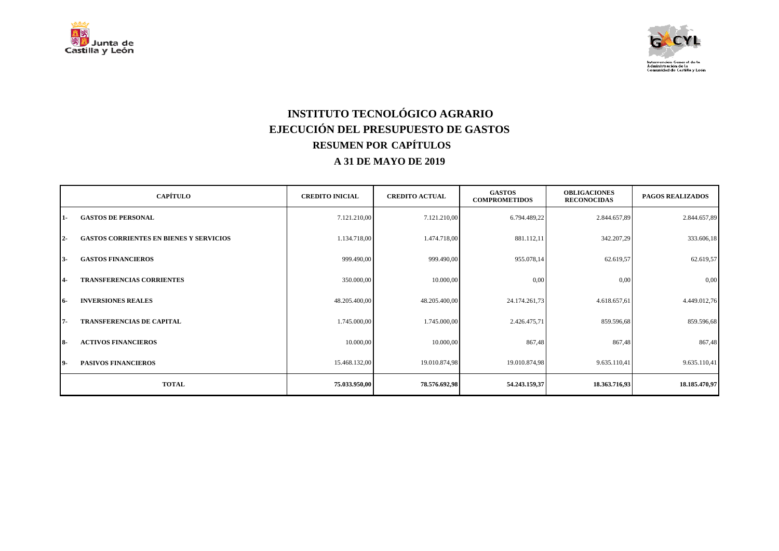



## **INSTITUTO TECNOLÓGICO AGRARIO EJECUCIÓN DEL PRESUPUESTO DE GASTOS RESUMEN POR CAPÍTULOS A 31 DE MAYO DE 2019**

|           | <b>CAPÍTULO</b>                                | <b>CREDITO INICIAL</b> | <b>CREDITO ACTUAL</b> | <b>GASTOS</b><br><b>COMPROMETIDOS</b> | <b>OBLIGACIONES</b><br><b>RECONOCIDAS</b> | <b>PAGOS REALIZADOS</b> |
|-----------|------------------------------------------------|------------------------|-----------------------|---------------------------------------|-------------------------------------------|-------------------------|
| 1-        | <b>GASTOS DE PERSONAL</b>                      | 7.121.210,00           | 7.121.210,00          | 6.794.489,22                          | 2.844.657,89                              | 2.844.657,89            |
| $2 -$     | <b>GASTOS CORRIENTES EN BIENES Y SERVICIOS</b> | 1.134.718,00           | 1.474.718,00          | 881.112,11                            | 342.207,29                                | 333.606,18              |
| $3-$      | <b>GASTOS FINANCIEROS</b>                      | 999.490,00             | 999.490,00            | 955.078,14                            | 62.619,57                                 | 62.619,57               |
| $4-$      | <b>TRANSFERENCIAS CORRIENTES</b>               | 350.000,00             | 10.000,00             | 0,00                                  | 0,00                                      | 0,00                    |
| 16-       | <b>INVERSIONES REALES</b>                      | 48.205.400,00          | 48.205.400,00         | 24.174.261,73                         | 4.618.657,61                              | 4.449.012,76            |
| $7 -$     | <b>TRANSFERENCIAS DE CAPITAL</b>               | 1.745.000,00           | 1.745.000,00          | 2.426.475,71                          | 859.596,68                                | 859.596,68              |
| <b>8-</b> | <b>ACTIVOS FINANCIEROS</b>                     | 10.000,00              | 10.000,00             | 867,48                                | 867,48                                    | 867,48                  |
| 19-       | <b>PASIVOS FINANCIEROS</b>                     | 15.468.132,00          | 19.010.874,98         | 19.010.874,98                         | 9.635.110,41                              | 9.635.110,41            |
|           | <b>TOTAL</b>                                   | 75.033.950,00          | 78.576.692,98         | 54.243.159,37                         | 18.363.716,93                             | 18.185.470,97           |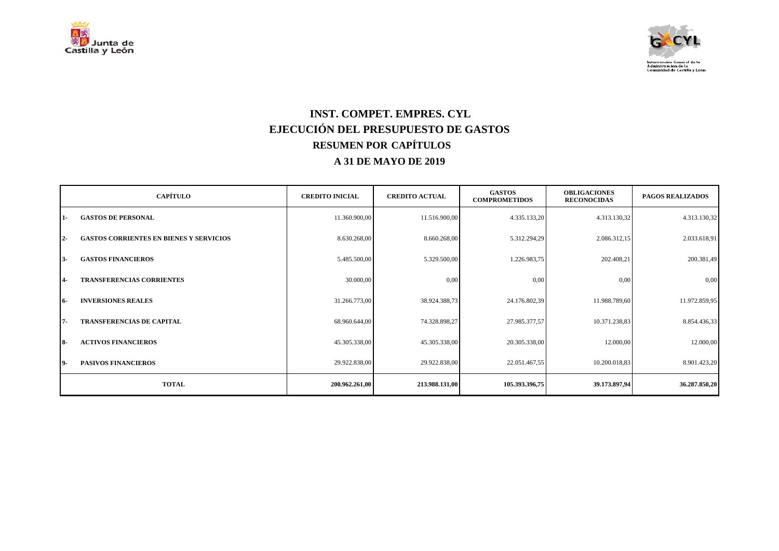



### **INST. COMPET. EMPRES. CYL EJECUCIÓN DEL PRESUPUESTO DE GASTOS RESUMEN POR CAPÍTULOS A 31 DE MAYO DE 2019**

|            | <b>CAPÍTULO</b>                                | <b>CREDITO INICIAL</b> | <b>CREDITO ACTUAL</b> | <b>GASTOS</b><br><b>COMPROMETIDOS</b> | <b>OBLIGACIONES</b><br><b>RECONOCIDAS</b> | <b>PAGOS REALIZADOS</b> |
|------------|------------------------------------------------|------------------------|-----------------------|---------------------------------------|-------------------------------------------|-------------------------|
| $1 -$      | <b>GASTOS DE PERSONAL</b>                      | 11.360.900,00          | 11.516.900,00         | 4.335.133,20                          | 4.313.130,32                              | 4.313.130,32            |
| $2 -$      | <b>GASTOS CORRIENTES EN BIENES Y SERVICIOS</b> | 8.630.268,00           | 8.660.268,00          | 5.312.294,29                          | 2.086.312,15                              | 2.033.618,91            |
| 13-        | <b>GASTOS FINANCIEROS</b>                      | 5.485.500,00           | 5.329.500,00          | 1.226.983,75                          | 202.408,21                                | 200.381,49              |
| <b>4-</b>  | <b>TRANSFERENCIAS CORRIENTES</b>               | 30.000,00              | 0,00                  | 0,00                                  | 0,00                                      | 0,00                    |
| <b>16-</b> | <b>INVERSIONES REALES</b>                      | 31.266.773,00          | 38.924.388,73         | 24.176.802,39                         | 11.988.789,60                             | 11.972.859,95           |
| $7 -$      | <b>TRANSFERENCIAS DE CAPITAL</b>               | 68.960.644,00          | 74.328.898,27         | 27.985.377,57                         | 10.371.238,83                             | 8.854.436,33            |
| $8-$       | <b>ACTIVOS FINANCIEROS</b>                     | 45.305.338,00          | 45.305.338,00         | 20.305.338,00                         | 12.000,00                                 | 12.000,00               |
| 19-        | <b>PASIVOS FINANCIEROS</b>                     | 29.922.838,00          | 29.922.838,00         | 22.051.467,55                         | 10.200.018,83                             | 8.901.423,20            |
|            | <b>TOTAL</b>                                   | 200.962.261,00         | 213.988.131,00        | 105.393.396,75                        | 39.173.897,94                             | 36.287.850,20           |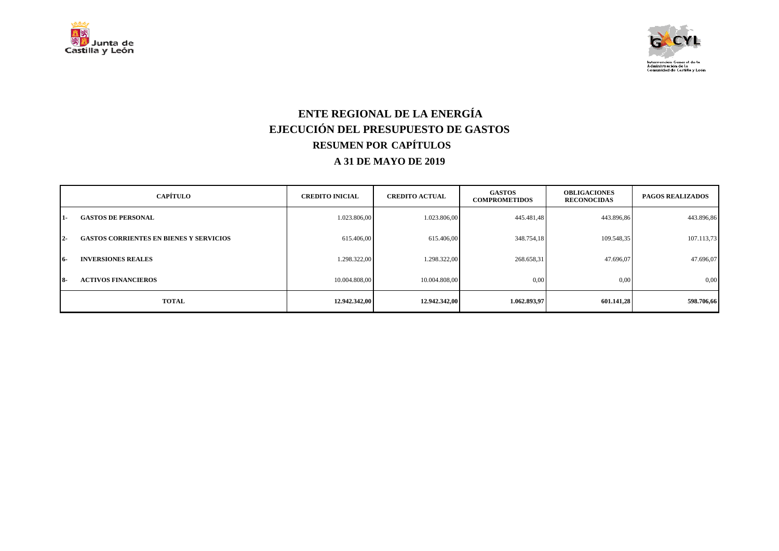



### **ENTE REGIONAL DE LA ENERGÍA EJECUCIÓN DEL PRESUPUESTO DE GASTOS RESUMEN POR CAPÍTULOS A 31 DE MAYO DE 2019**

|            | <b>CAPÍTULO</b>                                | <b>CREDITO INICIAL</b> | <b>CREDITO ACTUAL</b> | <b>GASTOS</b><br><b>COMPROMETIDOS</b> | <b>OBLIGACIONES</b><br><b>RECONOCIDAS</b> | <b>PAGOS REALIZADOS</b> |
|------------|------------------------------------------------|------------------------|-----------------------|---------------------------------------|-------------------------------------------|-------------------------|
| 11-        | <b>GASTOS DE PERSONAL</b>                      | 1.023.806,00           | 1.023.806,00          | 445.481,48                            | 443.896,86                                | 443.896,86              |
| $12-$      | <b>GASTOS CORRIENTES EN BIENES Y SERVICIOS</b> | 615.406,00             | 615.406,00            | 348.754,18                            | 109.548,35                                | 107.113,73              |
| -16        | <b>INVERSIONES REALES</b>                      | 1.298.322,00           | 1.298.322,00          | 268.658,31                            | 47.696,07                                 | 47.696,07               |
| <b>18-</b> | <b>ACTIVOS FINANCIEROS</b>                     | 10.004.808.00          | 10.004.808,00         | 0,00                                  | 0,00                                      | 0,00                    |
|            | <b>TOTAL</b>                                   | 12.942.342,00          | 12.942.342,00         | 1.062.893,97                          | 601.141,28                                | 598.706,66              |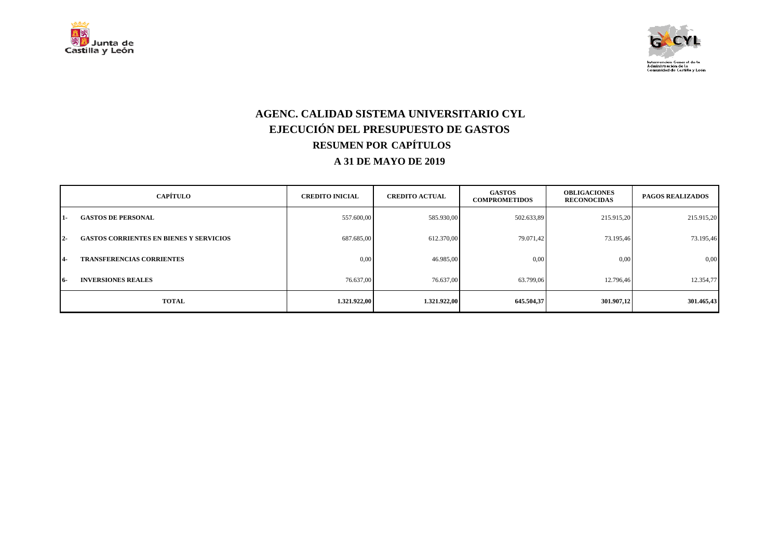



### **AGENC. CALIDAD SISTEMA UNIVERSITARIO CYL EJECUCIÓN DEL PRESUPUESTO DE GASTOS RESUMEN POR CAPÍTULOS A 31 DE MAYO DE 2019**

|            | <b>CAPÍTULO</b>                                | <b>CREDITO INICIAL</b> | <b>CREDITO ACTUAL</b> | <b>GASTOS</b><br><b>COMPROMETIDOS</b> | <b>OBLIGACIONES</b><br><b>RECONOCIDAS</b> | <b>PAGOS REALIZADOS</b> |
|------------|------------------------------------------------|------------------------|-----------------------|---------------------------------------|-------------------------------------------|-------------------------|
| 11-        | <b>GASTOS DE PERSONAL</b>                      | 557.600,00             | 585.930,00            | 502.633,89                            | 215.915,20                                | 215.915,20              |
| $12-$      | <b>GASTOS CORRIENTES EN BIENES Y SERVICIOS</b> | 687.685,00             | 612.370,00            | 79.071,42                             | 73.195,46                                 | 73.195,46               |
| <b>14-</b> | <b>TRANSFERENCIAS CORRIENTES</b>               | 0,00                   | 46.985,00             | 0,00                                  | 0,00                                      | 0,00                    |
| -16        | <b>INVERSIONES REALES</b>                      | 76.637,00              | 76.637,00             | 63.799.06                             | 12.796,46                                 | 12.354,77               |
|            | <b>TOTAL</b>                                   | 1.321.922,00           | 1.321.922,00          | 645.504,37                            | 301.907,12                                | 301.465,43              |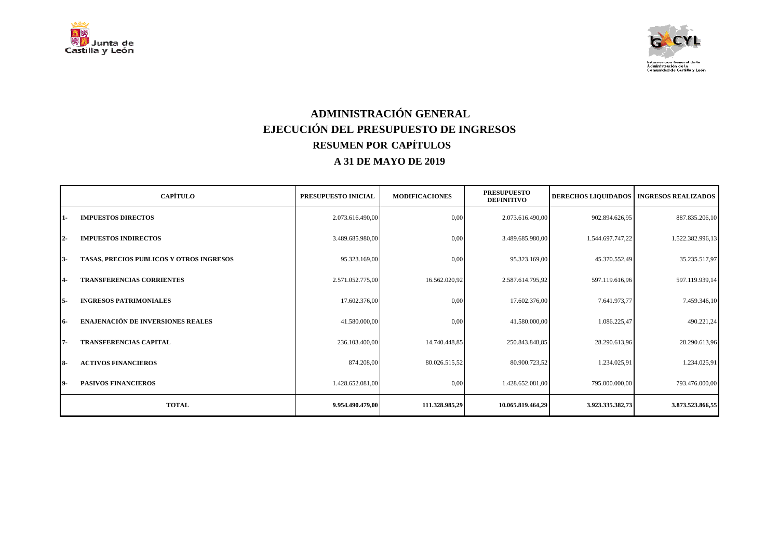



## **ADMINISTRACIÓN GENERAL EJECUCIÓN DEL PRESUPUESTO DE INGRESOS RESUMEN POR CAPÍTULOS A 31 DE MAYO DE 2019**

|           | <b>CAPÍTULO</b>                          | PRESUPUESTO INICIAL | <b>MODIFICACIONES</b> | <b>PRESUPUESTO</b><br><b>DEFINITIVO</b> |                  | DERECHOS LIQUIDADOS   INGRESOS REALIZADOS |
|-----------|------------------------------------------|---------------------|-----------------------|-----------------------------------------|------------------|-------------------------------------------|
| 11-       | <b>IMPUESTOS DIRECTOS</b>                | 2.073.616.490,00    | 0,00                  | 2.073.616.490,00                        | 902.894.626,95   | 887.835.206,10                            |
| <b>2-</b> | <b>IMPUESTOS INDIRECTOS</b>              | 3.489.685.980,00    | 0,00                  | 3.489.685.980,00                        | 1.544.697.747,22 | 1.522.382.996,13                          |
| 13-       | TASAS, PRECIOS PUBLICOS Y OTROS INGRESOS | 95.323.169,00       | 0,00                  | 95.323.169,00                           | 45.370.552,49    | 35.235.517,97                             |
| 4-        | <b>TRANSFERENCIAS CORRIENTES</b>         | 2.571.052.775,00    | 16.562.020.92         | 2.587.614.795,92                        | 597.119.616,96   | 597.119.939,14                            |
| I 5-      | <b>INGRESOS PATRIMONIALES</b>            | 17.602.376,00       | 0,00                  | 17.602.376,00                           | 7.641.973,77     | 7.459.346,10                              |
| <b>6-</b> | <b>ENAJENACIÓN DE INVERSIONES REALES</b> | 41.580.000,00       | 0,00                  | 41.580.000,00                           | 1.086.225,47     | 490.221,24                                |
| 17-       | <b>TRANSFERENCIAS CAPITAL</b>            | 236.103.400,00      | 14.740.448.85         | 250.843.848,85                          | 28.290.613,96    | 28.290.613,96                             |
| I 8-      | <b>ACTIVOS FINANCIEROS</b>               | 874.208,00          | 80.026.515,52         | 80.900.723,52                           | 1.234.025,91     | 1.234.025,91                              |
| 19-       | <b>PASIVOS FINANCIEROS</b>               | 1.428.652.081,00    | 0,00                  | 1.428.652.081,00                        | 795.000.000,00   | 793.476.000,00                            |
|           | <b>TOTAL</b>                             | 9.954.490.479,00    | 111.328.985,29        | 10.065.819.464,29                       | 3.923.335.382,73 | 3.873.523.866,55                          |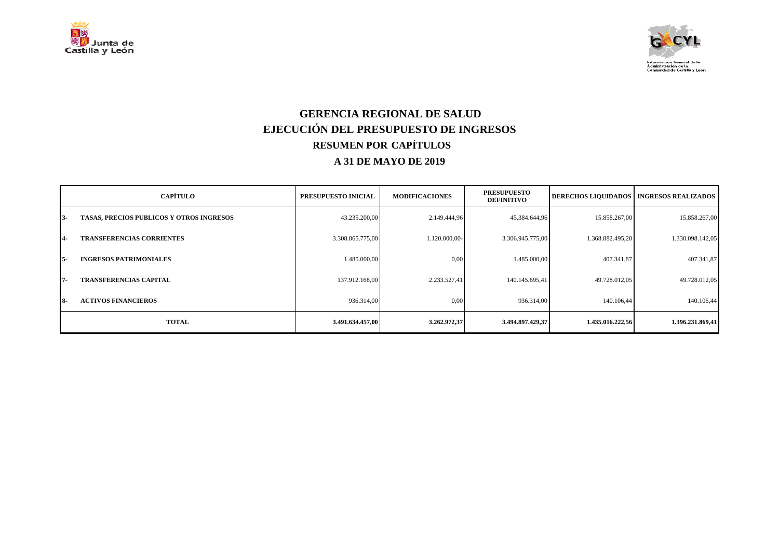



### **GERENCIA REGIONAL DE SALUD EJECUCIÓN DEL PRESUPUESTO DE INGRESOS RESUMEN POR CAPÍTULOS A 31 DE MAYO DE 2019**

|            | <b>CAPÍTULO</b>                                 | PRESUPUESTO INICIAL | <b>MODIFICACIONES</b> | <b>PRESUPUESTO</b><br><b>DEFINITIVO</b> | <b>DERECHOS LIQUIDADOS</b> | <b>INGRESOS REALIZADOS</b> |
|------------|-------------------------------------------------|---------------------|-----------------------|-----------------------------------------|----------------------------|----------------------------|
| 13-        | <b>TASAS, PRECIOS PUBLICOS Y OTROS INGRESOS</b> | 43.235.200,00       | 2.149.444,96          | 45.384.644,96                           | 15.858.267,00              | 15.858.267,00              |
| 14-        | <b>TRANSFERENCIAS CORRIENTES</b>                | 3.308.065.775,00    | 1.120.000,00-         | 3.306.945.775,00                        | 1.368.882.495,20           | 1.330.098.142,05           |
| $15-$      | <b>INGRESOS PATRIMONIALES</b>                   | 1.485.000.00        | 0,00                  | 1.485.000,00                            | 407.341,87                 | 407.341,87                 |
| 17-        | <b>TRANSFERENCIAS CAPITAL</b>                   | 137.912.168.00      | 2.233.527.41          | 140.145.695,41                          | 49.728.012.05              | 49.728.012,05              |
| <b>18-</b> | <b>ACTIVOS FINANCIEROS</b>                      | 936.314,00          | 0,00                  | 936.314,00                              | 140.106,44                 | 140.106,44                 |
|            | <b>TOTAL</b>                                    | 3.491.634.457,00    | 3.262.972,37          | 3.494.897.429,37                        | 1.435.016.222,56           | 1.396.231.869,41           |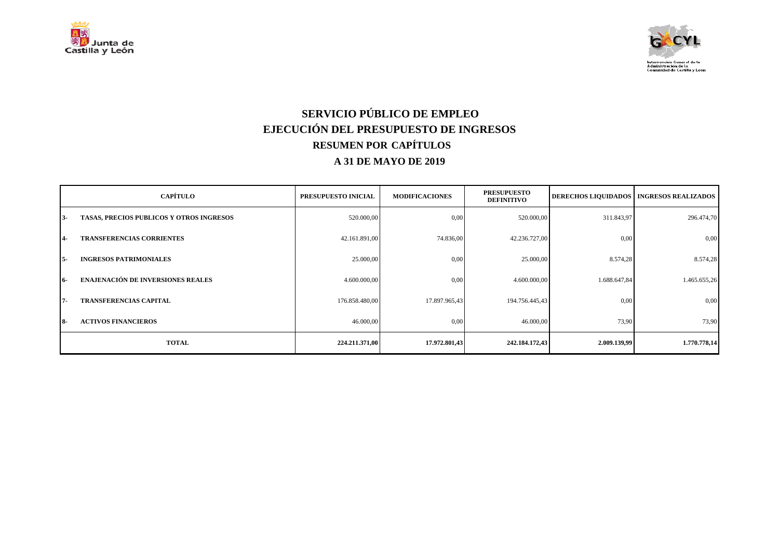



# **SERVICIO PÚBLICO DE EMPLEO EJECUCIÓN DEL PRESUPUESTO DE INGRESOS RESUMEN POR CAPÍTULOS A 31 DE MAYO DE 2019**

|            | <b>CAPÍTULO</b>                          | PRESUPUESTO INICIAL | <b>MODIFICACIONES</b> | <b>PRESUPUESTO</b><br><b>DEFINITIVO</b> |              | <b>DERECHOS LIQUIDADOS   INGRESOS REALIZADOS</b> |
|------------|------------------------------------------|---------------------|-----------------------|-----------------------------------------|--------------|--------------------------------------------------|
| $3-$       | TASAS, PRECIOS PUBLICOS Y OTROS INGRESOS | 520.000,00          | 0,00                  | 520.000,00                              | 311.843,97   | 296.474,70                                       |
| $4-$       | <b>TRANSFERENCIAS CORRIENTES</b>         | 42.161.891,00       | 74.836,00             | 42.236.727,00                           | 0,00         | 0,00                                             |
| $5-$       | <b>INGRESOS PATRIMONIALES</b>            | 25.000,00           | 0,00                  | 25.000,00                               | 8.574,28     | 8.574,28                                         |
| $16-$      | <b>ENAJENACIÓN DE INVERSIONES REALES</b> | 4.600.000,00        | 0,00                  | 4.600.000,00                            | 1.688.647,84 | 1.465.655,26                                     |
| $7 -$      | <b>TRANSFERENCIAS CAPITAL</b>            | 176.858.480,00      | 17.897.965,43         | 194.756.445,43                          | 0,00         | 0,00                                             |
| <b>18-</b> | <b>ACTIVOS FINANCIEROS</b>               | 46.000,00           | 0,00                  | 46.000,00                               | 73,90        | 73,90                                            |
|            | <b>TOTAL</b>                             | 224.211.371,00      | 17.972.801,43         | 242.184.172,43                          | 2.009.139,99 | 1.770.778,14                                     |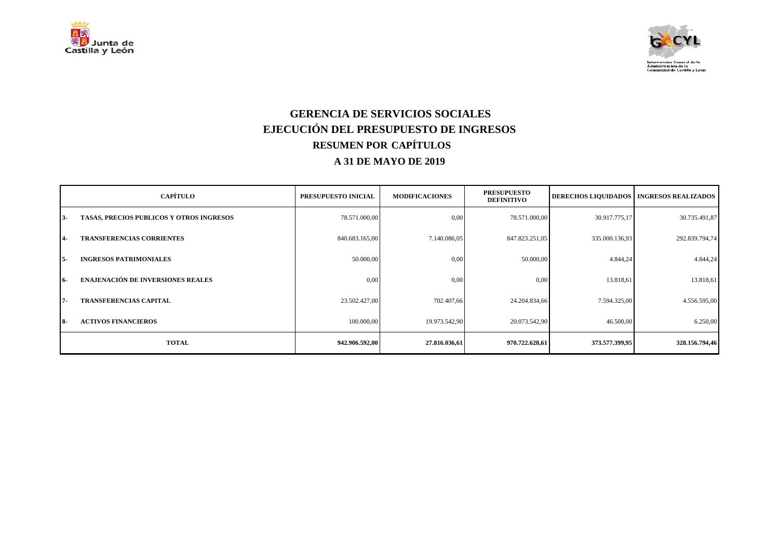



### **GERENCIA DE SERVICIOS SOCIALES EJECUCIÓN DEL PRESUPUESTO DE INGRESOS RESUMEN POR CAPÍTULOS A 31 DE MAYO DE 2019**

|            | <b>CAPÍTULO</b>                          | PRESUPUESTO INICIAL | <b>MODIFICACIONES</b> | <b>PRESUPUESTO</b><br><b>DEFINITIVO</b> | <b>DERECHOS LIQUIDADOS</b> | <b>INGRESOS REALIZADOS</b> |
|------------|------------------------------------------|---------------------|-----------------------|-----------------------------------------|----------------------------|----------------------------|
| $3-$       | TASAS, PRECIOS PUBLICOS Y OTROS INGRESOS | 78.571.000,00       | 0,00                  | 78.571.000,00                           | 30.917.775,17              | 30.735.491,87              |
| $4-$       | <b>TRANSFERENCIAS CORRIENTES</b>         | 840.683.165,00      | 7.140.086,05          | 847.823.251,05                          | 335.000.136,93             | 292.839.794,74             |
| $5-$       | <b>INGRESOS PATRIMONIALES</b>            | 50.000,00           | 0,00                  | 50.000,00                               | 4.844,24                   | 4.844,24                   |
| 16-        | <b>ENAJENACIÓN DE INVERSIONES REALES</b> | 0.00                | 0,00                  | 0.00                                    | 13.818,61                  | 13.818,61                  |
| $7 -$      | <b>TRANSFERENCIAS CAPITAL</b>            | 23.502.427,00       | 702.407,66            | 24.204.834,66                           | 7.594.325,00               | 4.556.595,00               |
| <b>18-</b> | <b>ACTIVOS FINANCIEROS</b>               | 100.000,00          | 19.973.542,90         | 20.073.542,90                           | 46.500,00                  | 6.250,00                   |
|            | <b>TOTAL</b>                             | 942.906.592,00      | 27.816.036,61         | 970.722.628,61                          | 373.577.399,95             | 328.156.794,46             |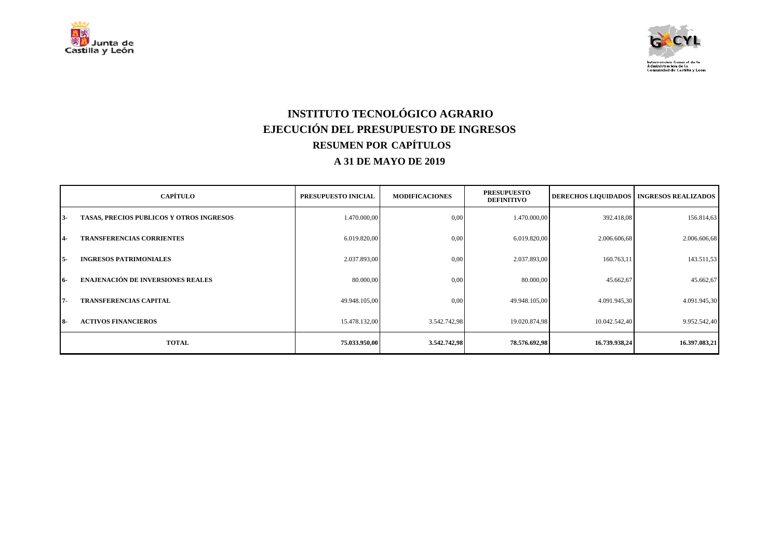



## **INSTITUTO TECNOLÓGICO AGRARIO EJECUCIÓN DEL PRESUPUESTO DE INGRESOS RESUMEN POR CAPÍTULOS A 31 DE MAYO DE 2019**

|            | <b>CAPÍTULO</b>                          | PRESUPUESTO INICIAL | <b>MODIFICACIONES</b> | <b>PRESUPUESTO</b><br><b>DEFINITIVO</b> | <b>DERECHOS LIQUIDADOS</b> | <b>INGRESOS REALIZADOS</b> |
|------------|------------------------------------------|---------------------|-----------------------|-----------------------------------------|----------------------------|----------------------------|
| $3-$       | TASAS, PRECIOS PUBLICOS Y OTROS INGRESOS | 1.470.000,00        | 0,00                  | 1.470.000,00                            | 392.418,08                 | 156.814,63                 |
| $4-$       | <b>TRANSFERENCIAS CORRIENTES</b>         | 6.019.820,00        | 0,00                  | 6.019.820,00                            | 2.006.606,68               | 2.006.606,68               |
| $5-$       | <b>INGRESOS PATRIMONIALES</b>            | 2.037.893,00        | 0,00                  | 2.037.893,00                            | 160.763,11                 | 143.511,53                 |
| 16-        | <b>ENAJENACIÓN DE INVERSIONES REALES</b> | 80.000,00           | 0,00                  | 80.000,00                               | 45.662,67                  | 45.662,67                  |
| $7 -$      | <b>TRANSFERENCIAS CAPITAL</b>            | 49.948.105,00       | 0,00                  | 49.948.105,00                           | 4.091.945,30               | 4.091.945,30               |
| <b>18-</b> | <b>ACTIVOS FINANCIEROS</b>               | 15.478.132,00       | 3.542.742,98          | 19.020.874,98                           | 10.042.542,40              | 9.952.542,40               |
|            | <b>TOTAL</b>                             | 75.033.950,00       | 3.542.742,98          | 78.576.692,98                           | 16.739.938,24              | 16.397.083,21              |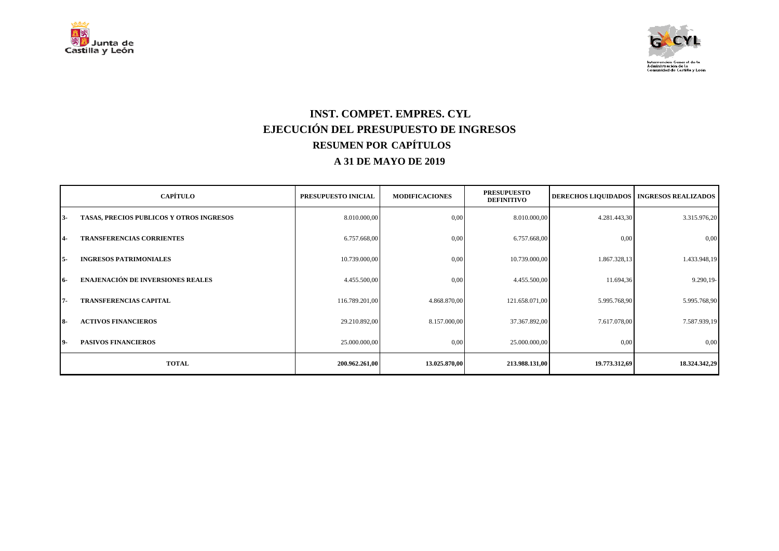



### **INST. COMPET. EMPRES. CYL EJECUCIÓN DEL PRESUPUESTO DE INGRESOS RESUMEN POR CAPÍTULOS A 31 DE MAYO DE 2019**

|            | <b>CAPÍTULO</b>                          | PRESUPUESTO INICIAL | <b>MODIFICACIONES</b> | <b>PRESUPUESTO</b><br><b>DEFINITIVO</b> |               | <b>DERECHOS LIQUIDADOS   INGRESOS REALIZADOS</b> |
|------------|------------------------------------------|---------------------|-----------------------|-----------------------------------------|---------------|--------------------------------------------------|
| $3 -$      | TASAS, PRECIOS PUBLICOS Y OTROS INGRESOS | 8.010.000,00        | 0,00                  | 8.010.000,00                            | 4.281.443,30  | 3.315.976,20                                     |
| <b>4-</b>  | <b>TRANSFERENCIAS CORRIENTES</b>         | 6.757.668,00        | 0,00                  | 6.757.668,00                            | 0,00          | 0,00                                             |
| $5-$       | <b>INGRESOS PATRIMONIALES</b>            | 10.739.000,00       | 0,00                  | 10.739.000,00                           | 1.867.328,13  | 1.433.948,19                                     |
| 16-        | <b>ENAJENACIÓN DE INVERSIONES REALES</b> | 4.455.500,00        | 0,00                  | 4.455.500,00                            | 11.694,36     | 9.290,19-                                        |
| 7-         | <b>TRANSFERENCIAS CAPITAL</b>            | 116.789.201,00      | 4.868.870,00          | 121.658.071,00                          | 5.995.768,90  | 5.995.768,90                                     |
| <b>18-</b> | <b>ACTIVOS FINANCIEROS</b>               | 29.210.892,00       | 8.157.000,00          | 37.367.892,00                           | 7.617.078,00  | 7.587.939,19                                     |
| 19-        | <b>PASIVOS FINANCIEROS</b>               | 25.000.000,00       | 0,00                  | 25.000.000,00                           | 0,00          | 0,00                                             |
|            | <b>TOTAL</b>                             | 200.962.261,00      | 13.025.870,00         | 213.988.131,00                          | 19.773.312,69 | 18.324.342,29                                    |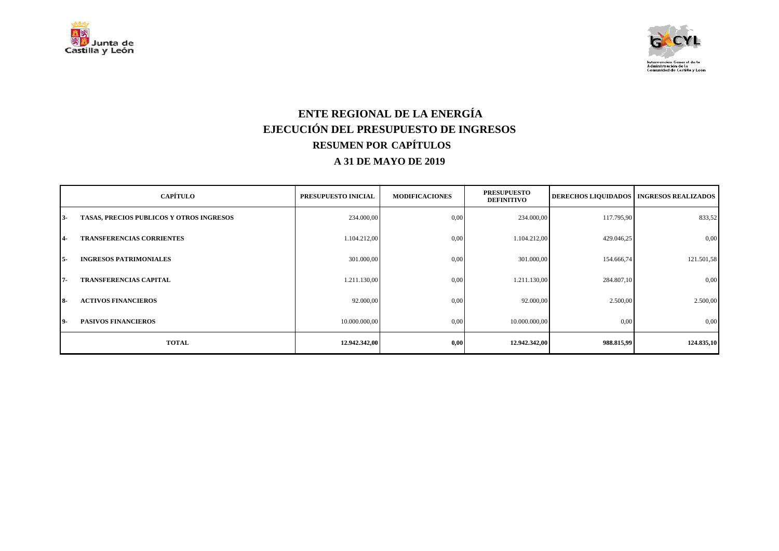



### **ENTE REGIONAL DE LA ENERGÍA EJECUCIÓN DEL PRESUPUESTO DE INGRESOS RESUMEN POR CAPÍTULOS A 31 DE MAYO DE 2019**

|            | <b>CAPÍTULO</b>                          | PRESUPUESTO INICIAL | <b>MODIFICACIONES</b> | <b>PRESUPUESTO</b><br><b>DEFINITIVO</b> |            | <b>DERECHOS LIQUIDADOS   INGRESOS REALIZADOS  </b> |
|------------|------------------------------------------|---------------------|-----------------------|-----------------------------------------|------------|----------------------------------------------------|
| $13 -$     | TASAS, PRECIOS PUBLICOS Y OTROS INGRESOS | 234.000,00          | 0,00                  | 234.000,00                              | 117.795,90 | 833,52                                             |
| $4-$       | <b>TRANSFERENCIAS CORRIENTES</b>         | 1.104.212,00        | 0,00                  | 1.104.212,00                            | 429.046,25 | 0,00                                               |
| I 5-       | <b>INGRESOS PATRIMONIALES</b>            | 301.000,00          | 0,00                  | 301.000,00                              | 154.666,74 | 121.501,58                                         |
| $7 -$      | <b>TRANSFERENCIAS CAPITAL</b>            | 1.211.130,00        | 0,00                  | 1.211.130,00                            | 284.807,10 | 0,00                                               |
| <b>18-</b> | <b>ACTIVOS FINANCIEROS</b>               | 92.000,00           | 0,00                  | 92.000,00                               | 2.500,00   | 2.500,00                                           |
| 19-        | <b>PASIVOS FINANCIEROS</b>               | 10.000.000,00       | 0,00                  | 10.000.000,00                           | 0,00       | 0,00                                               |
|            | <b>TOTAL</b>                             | 12.942.342,00       | 0,00                  | 12.942.342,00                           | 988.815,99 | 124.835,10                                         |